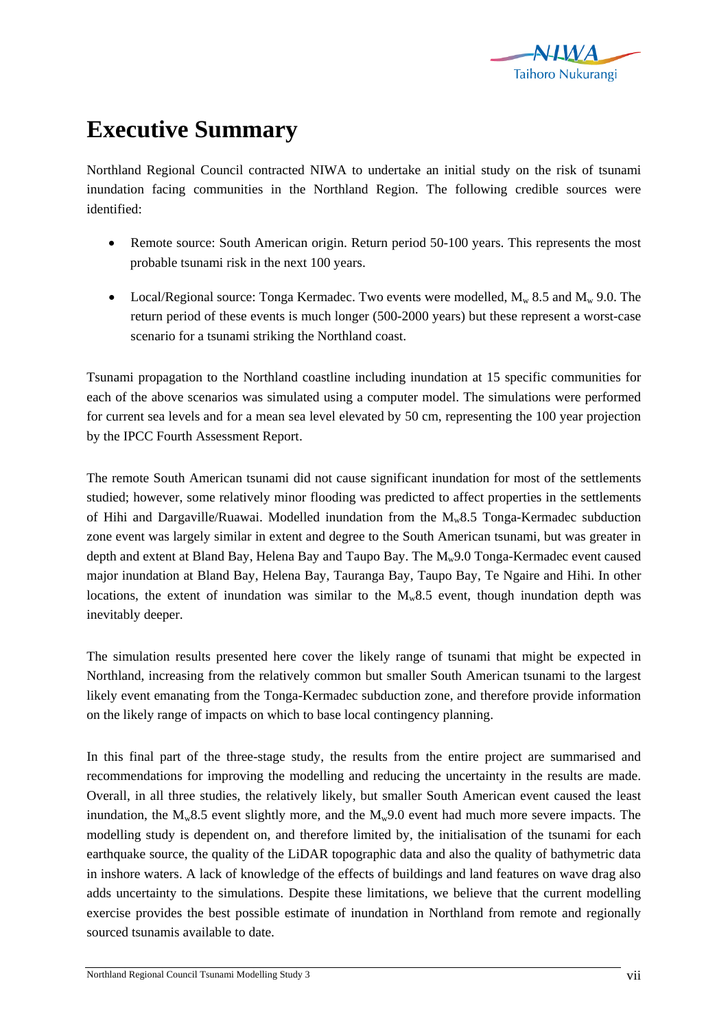

## **Executive Summary**

Northland Regional Council contracted NIWA to undertake an initial study on the risk of tsunami inundation facing communities in the Northland Region. The following credible sources were identified:

- Remote source: South American origin. Return period 50-100 years. This represents the most probable tsunami risk in the next 100 years.
- Local/Regional source: Tonga Kermadec. Two events were modelled,  $M_w$  8.5 and  $M_w$  9.0. The return period of these events is much longer (500-2000 years) but these represent a worst-case scenario for a tsunami striking the Northland coast.

Tsunami propagation to the Northland coastline including inundation at 15 specific communities for each of the above scenarios was simulated using a computer model. The simulations were performed for current sea levels and for a mean sea level elevated by 50 cm, representing the 100 year projection by the IPCC Fourth Assessment Report.

The remote South American tsunami did not cause significant inundation for most of the settlements studied; however, some relatively minor flooding was predicted to affect properties in the settlements of Hihi and Dargaville/Ruawai. Modelled inundation from the Mw8.5 Tonga-Kermadec subduction zone event was largely similar in extent and degree to the South American tsunami, but was greater in depth and extent at Bland Bay, Helena Bay and Taupo Bay. The  $M_w9.0$  Tonga-Kermadec event caused major inundation at Bland Bay, Helena Bay, Tauranga Bay, Taupo Bay, Te Ngaire and Hihi. In other locations, the extent of inundation was similar to the  $M_{w}8.5$  event, though inundation depth was inevitably deeper.

The simulation results presented here cover the likely range of tsunami that might be expected in Northland, increasing from the relatively common but smaller South American tsunami to the largest likely event emanating from the Tonga-Kermadec subduction zone, and therefore provide information on the likely range of impacts on which to base local contingency planning.

In this final part of the three-stage study, the results from the entire project are summarised and recommendations for improving the modelling and reducing the uncertainty in the results are made. Overall, in all three studies, the relatively likely, but smaller South American event caused the least inundation, the  $M_w8.5$  event slightly more, and the  $M_w9.0$  event had much more severe impacts. The modelling study is dependent on, and therefore limited by, the initialisation of the tsunami for each earthquake source, the quality of the LiDAR topographic data and also the quality of bathymetric data in inshore waters. A lack of knowledge of the effects of buildings and land features on wave drag also adds uncertainty to the simulations. Despite these limitations, we believe that the current modelling exercise provides the best possible estimate of inundation in Northland from remote and regionally sourced tsunamis available to date.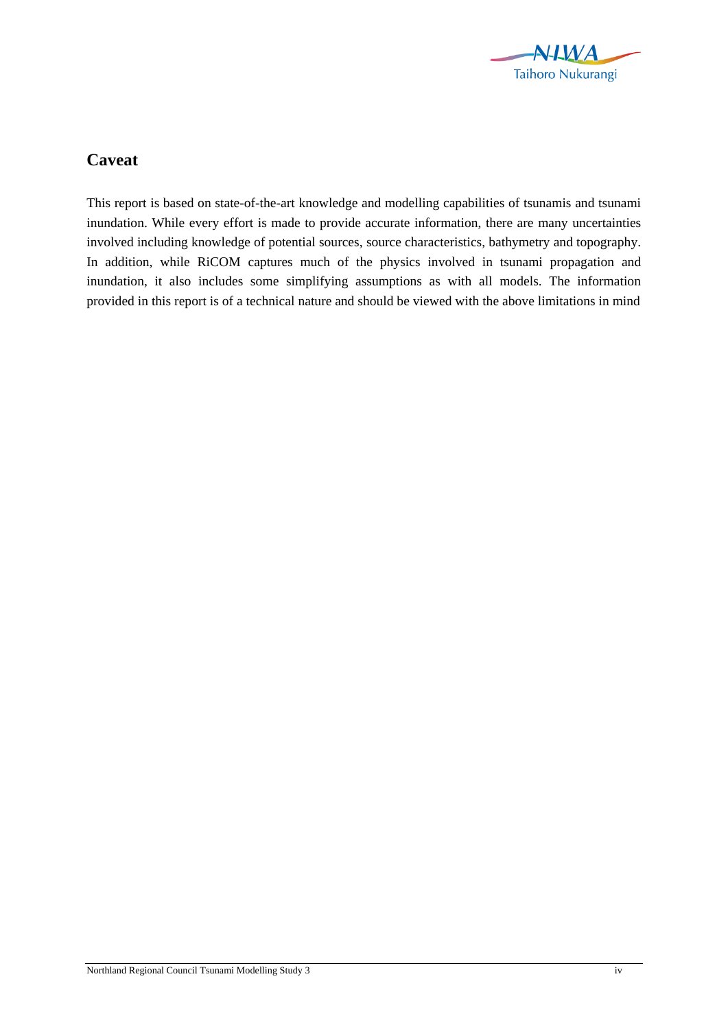

## **Caveat**

This report is based on state-of-the-art knowledge and modelling capabilities of tsunamis and tsunami inundation. While every effort is made to provide accurate information, there are many uncertainties involved including knowledge of potential sources, source characteristics, bathymetry and topography. In addition, while RiCOM captures much of the physics involved in tsunami propagation and inundation, it also includes some simplifying assumptions as with all models. The information provided in this report is of a technical nature and should be viewed with the above limitations in mind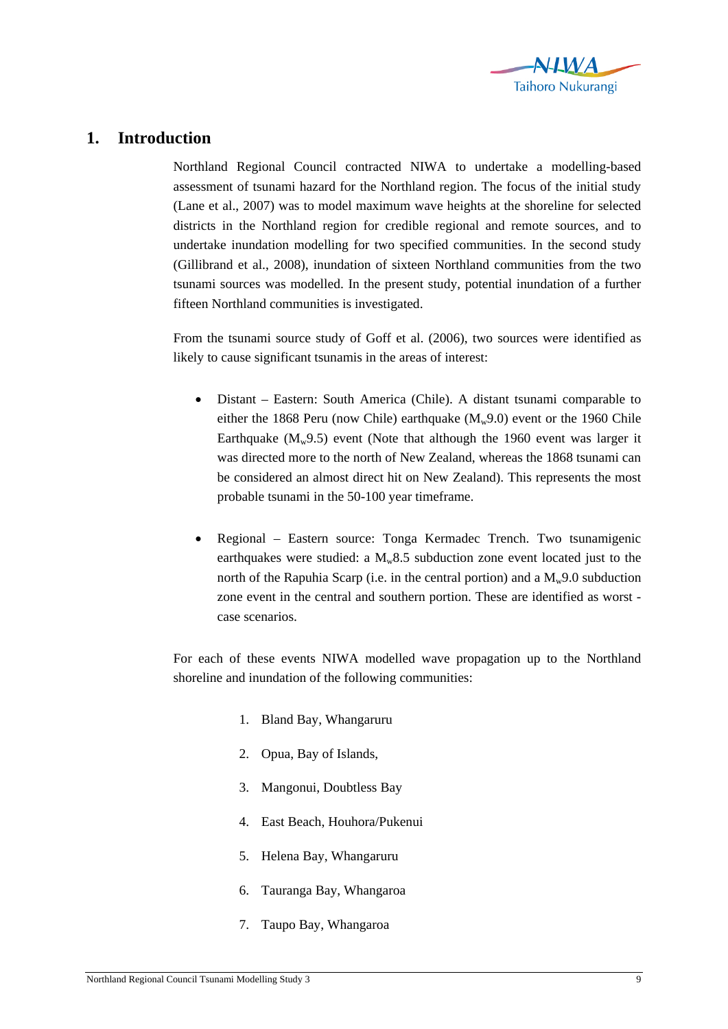

## **1. Introduction**

Northland Regional Council contracted NIWA to undertake a modelling-based assessment of tsunami hazard for the Northland region. The focus of the initial study (Lane et al., 2007) was to model maximum wave heights at the shoreline for selected districts in the Northland region for credible regional and remote sources, and to undertake inundation modelling for two specified communities. In the second study (Gillibrand et al., 2008), inundation of sixteen Northland communities from the two tsunami sources was modelled. In the present study, potential inundation of a further fifteen Northland communities is investigated.

From the tsunami source study of Goff et al. (2006), two sources were identified as likely to cause significant tsunamis in the areas of interest:

- Distant Eastern: South America (Chile). A distant tsunami comparable to either the 1868 Peru (now Chile) earthquake  $(M_w 9.0)$  event or the 1960 Chile Earthquake  $(M_w 9.5)$  event (Note that although the 1960 event was larger it was directed more to the north of New Zealand, whereas the 1868 tsunami can be considered an almost direct hit on New Zealand). This represents the most probable tsunami in the 50-100 year timeframe.
- Regional Eastern source: Tonga Kermadec Trench. Two tsunamigenic earthquakes were studied: a  $M_{w}8.5$  subduction zone event located just to the north of the Rapuhia Scarp (i.e. in the central portion) and a  $M_w$ 9.0 subduction zone event in the central and southern portion. These are identified as worst case scenarios.

For each of these events NIWA modelled wave propagation up to the Northland shoreline and inundation of the following communities:

- 1. Bland Bay, Whangaruru
- 2. Opua, Bay of Islands,
- 3. Mangonui, Doubtless Bay
- 4. East Beach, Houhora/Pukenui
- 5. Helena Bay, Whangaruru
- 6. Tauranga Bay, Whangaroa
- 7. Taupo Bay, Whangaroa